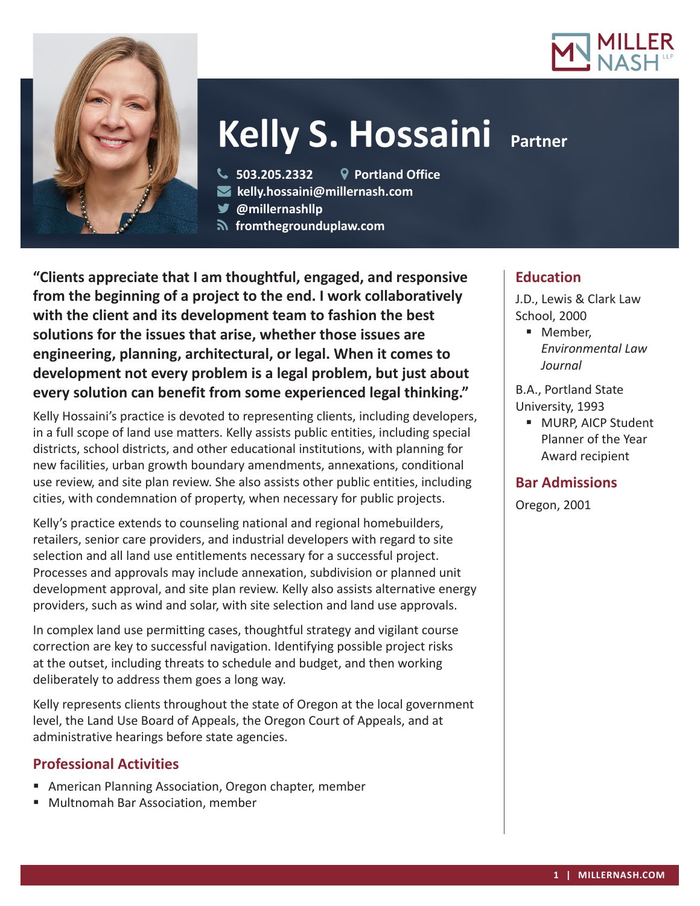



# **Kelly S. Hossaini Partner**

**503.205.2332 Portland Office**

- **kelly.hossaini@millernash.com**
- **@millernashllp**
- **fromthegrounduplaw.com**

**"Clients appreciate that I am thoughtful, engaged, and responsive from the beginning of a project to the end. I work collaboratively with the client and its development team to fashion the best solutions for the issues that arise, whether those issues are engineering, planning, architectural, or legal. When it comes to development not every problem is a legal problem, but just about every solution can benefit from some experienced legal thinking."**

Kelly Hossaini's practice is devoted to representing clients, including developers, in a full scope of land use matters. Kelly assists public entities, including special districts, school districts, and other educational institutions, with planning for new facilities, urban growth boundary amendments, annexations, conditional use review, and site plan review. She also assists other public entities, including cities, with condemnation of property, when necessary for public projects.

Kelly's practice extends to counseling national and regional homebuilders, retailers, senior care providers, and industrial developers with regard to site selection and all land use entitlements necessary for a successful project. Processes and approvals may include annexation, subdivision or planned unit development approval, and site plan review. Kelly also assists alternative energy providers, such as wind and solar, with site selection and land use approvals.

In complex land use permitting cases, thoughtful strategy and vigilant course correction are key to successful navigation. Identifying possible project risks at the outset, including threats to schedule and budget, and then working deliberately to address them goes a long way.

Kelly represents clients throughout the state of Oregon at the local government level, the Land Use Board of Appeals, the Oregon Court of Appeals, and at administrative hearings before state agencies.

# **Professional Activities**

- American Planning Association, Oregon chapter, member
- Multnomah Bar Association, member

# **Education**

J.D., Lewis & Clark Law School, 2000

**Member,** *Environmental Law Journal*

B.A., Portland State University, 1993

**MURP, AICP Student** Planner of the Year Award recipient

# **Bar Admissions**

Oregon, 2001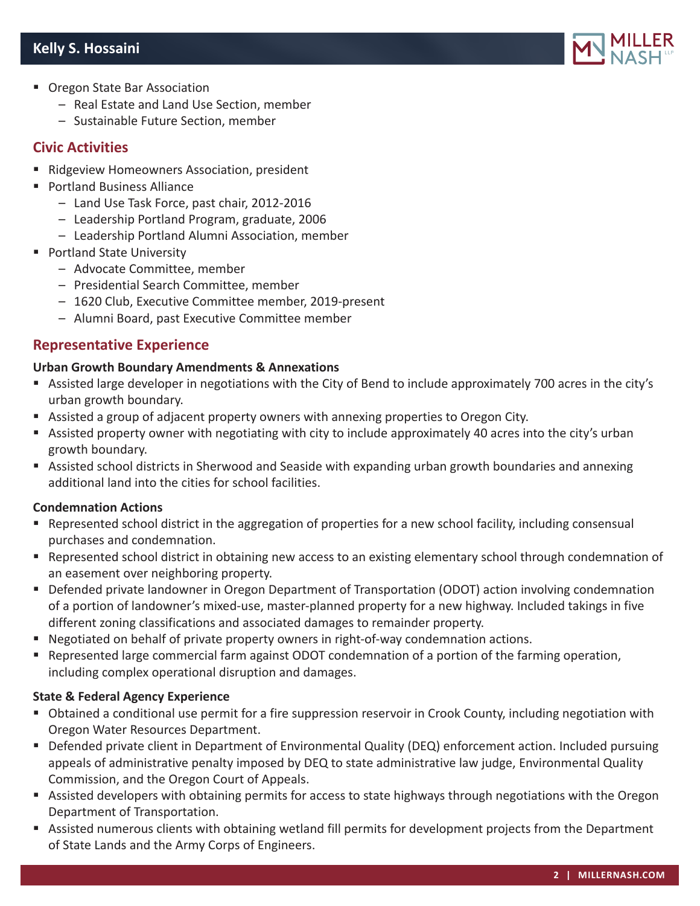

- **Diama State Bar Association** 
	- Real Estate and Land Use Section, member
	- Sustainable Future Section, member

## **Civic Activities**

- Ridgeview Homeowners Association, president
- Portland Business Alliance
	- Land Use Task Force, past chair, 2012-2016
	- Leadership Portland Program, graduate, 2006
	- Leadership Portland Alumni Association, member
- **Portland State University** 
	- Advocate Committee, member
	- Presidential Search Committee, member
	- 1620 Club, Executive Committee member, 2019-present
	- Alumni Board, past Executive Committee member

## **Representative Experience**

#### **Urban Growth Boundary Amendments & Annexations**

- Assisted large developer in negotiations with the City of Bend to include approximately 700 acres in the city's urban growth boundary.
- Assisted a group of adjacent property owners with annexing properties to Oregon City.
- Assisted property owner with negotiating with city to include approximately 40 acres into the city's urban growth boundary.
- Assisted school districts in Sherwood and Seaside with expanding urban growth boundaries and annexing additional land into the cities for school facilities.

#### **Condemnation Actions**

- Represented school district in the aggregation of properties for a new school facility, including consensual purchases and condemnation.
- Represented school district in obtaining new access to an existing elementary school through condemnation of an easement over neighboring property.
- Defended private landowner in Oregon Department of Transportation (ODOT) action involving condemnation of a portion of landowner's mixed-use, master-planned property for a new highway. Included takings in five different zoning classifications and associated damages to remainder property.
- Negotiated on behalf of private property owners in right-of-way condemnation actions.
- Represented large commercial farm against ODOT condemnation of a portion of the farming operation, including complex operational disruption and damages.

#### **State & Federal Agency Experience**

- Obtained a conditional use permit for a fire suppression reservoir in Crook County, including negotiation with Oregon Water Resources Department.
- Defended private client in Department of Environmental Quality (DEQ) enforcement action. Included pursuing appeals of administrative penalty imposed by DEQ to state administrative law judge, Environmental Quality Commission, and the Oregon Court of Appeals.
- Assisted developers with obtaining permits for access to state highways through negotiations with the Oregon Department of Transportation.
- Assisted numerous clients with obtaining wetland fill permits for development projects from the Department of State Lands and the Army Corps of Engineers.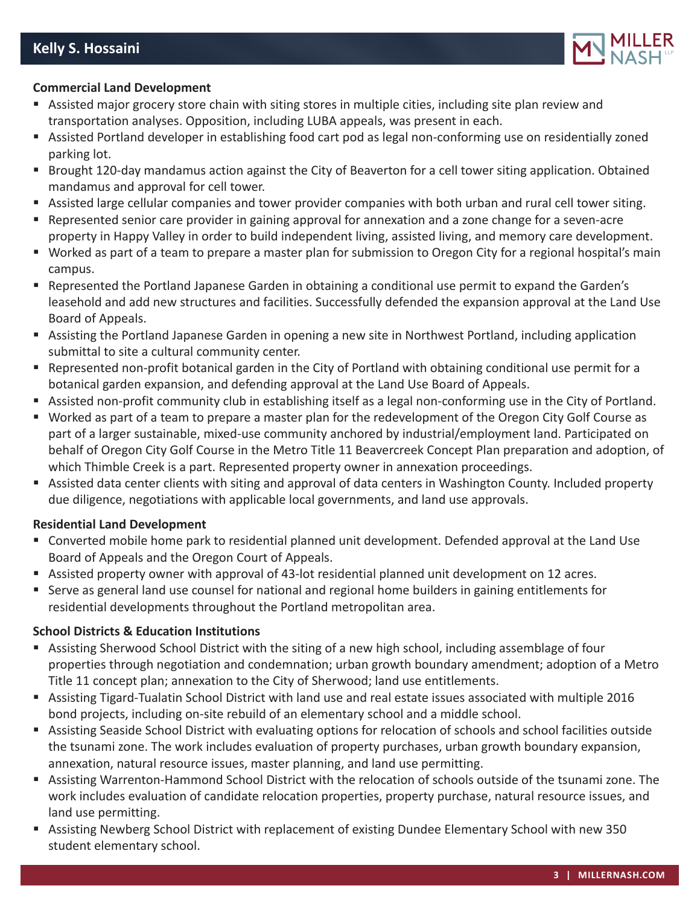

### **Commercial Land Development**

- Assisted major grocery store chain with siting stores in multiple cities, including site plan review and transportation analyses. Opposition, including LUBA appeals, was present in each.
- Assisted Portland developer in establishing food cart pod as legal non-conforming use on residentially zoned parking lot.
- Brought 120-day mandamus action against the City of Beaverton for a cell tower siting application. Obtained mandamus and approval for cell tower.
- Assisted large cellular companies and tower provider companies with both urban and rural cell tower siting.
- Represented senior care provider in gaining approval for annexation and a zone change for a seven-acre property in Happy Valley in order to build independent living, assisted living, and memory care development.
- Worked as part of a team to prepare a master plan for submission to Oregon City for a regional hospital's main campus.
- Represented the Portland Japanese Garden in obtaining a conditional use permit to expand the Garden's leasehold and add new structures and facilities. Successfully defended the expansion approval at the Land Use Board of Appeals.
- Assisting the Portland Japanese Garden in opening a new site in Northwest Portland, including application submittal to site a cultural community center.
- Represented non-profit botanical garden in the City of Portland with obtaining conditional use permit for a botanical garden expansion, and defending approval at the Land Use Board of Appeals.
- Assisted non-profit community club in establishing itself as a legal non-conforming use in the City of Portland.
- Worked as part of a team to prepare a master plan for the redevelopment of the Oregon City Golf Course as part of a larger sustainable, mixed-use community anchored by industrial/employment land. Participated on behalf of Oregon City Golf Course in the Metro Title 11 Beavercreek Concept Plan preparation and adoption, of which Thimble Creek is a part. Represented property owner in annexation proceedings.
- Assisted data center clients with siting and approval of data centers in Washington County. Included property due diligence, negotiations with applicable local governments, and land use approvals.

#### **Residential Land Development**

- Converted mobile home park to residential planned unit development. Defended approval at the Land Use Board of Appeals and the Oregon Court of Appeals.
- Assisted property owner with approval of 43-lot residential planned unit development on 12 acres.
- Serve as general land use counsel for national and regional home builders in gaining entitlements for residential developments throughout the Portland metropolitan area.

#### **School Districts & Education Institutions**

- Assisting Sherwood School District with the siting of a new high school, including assemblage of four properties through negotiation and condemnation; urban growth boundary amendment; adoption of a Metro Title 11 concept plan; annexation to the City of Sherwood; land use entitlements.
- Assisting Tigard-Tualatin School District with land use and real estate issues associated with multiple 2016 bond projects, including on-site rebuild of an elementary school and a middle school.
- Assisting Seaside School District with evaluating options for relocation of schools and school facilities outside the tsunami zone. The work includes evaluation of property purchases, urban growth boundary expansion, annexation, natural resource issues, master planning, and land use permitting.
- Assisting Warrenton-Hammond School District with the relocation of schools outside of the tsunami zone. The work includes evaluation of candidate relocation properties, property purchase, natural resource issues, and land use permitting.
- Assisting Newberg School District with replacement of existing Dundee Elementary School with new 350 student elementary school.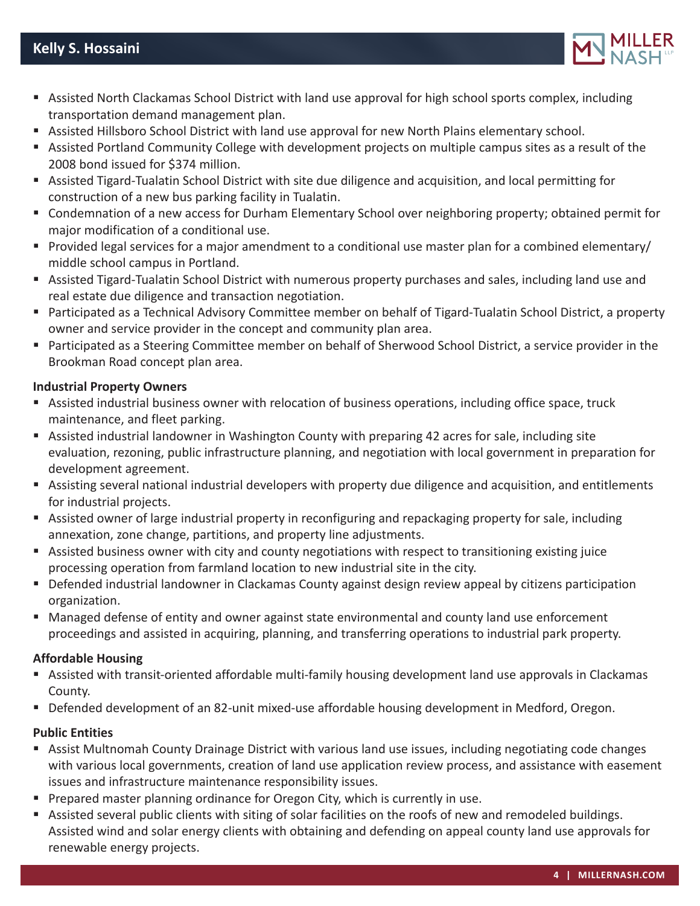

- Assisted North Clackamas School District with land use approval for high school sports complex, including transportation demand management plan.
- Assisted Hillsboro School District with land use approval for new North Plains elementary school.
- Assisted Portland Community College with development projects on multiple campus sites as a result of the 2008 bond issued for \$374 million.
- Assisted Tigard-Tualatin School District with site due diligence and acquisition, and local permitting for construction of a new bus parking facility in Tualatin.
- Condemnation of a new access for Durham Elementary School over neighboring property; obtained permit for major modification of a conditional use.
- Provided legal services for a major amendment to a conditional use master plan for a combined elementary/ middle school campus in Portland.
- Assisted Tigard-Tualatin School District with numerous property purchases and sales, including land use and real estate due diligence and transaction negotiation.
- Participated as a Technical Advisory Committee member on behalf of Tigard-Tualatin School District, a property owner and service provider in the concept and community plan area.
- Participated as a Steering Committee member on behalf of Sherwood School District, a service provider in the Brookman Road concept plan area.

## **Industrial Property Owners**

- Assisted industrial business owner with relocation of business operations, including office space, truck maintenance, and fleet parking.
- Assisted industrial landowner in Washington County with preparing 42 acres for sale, including site evaluation, rezoning, public infrastructure planning, and negotiation with local government in preparation for development agreement.
- Assisting several national industrial developers with property due diligence and acquisition, and entitlements for industrial projects.
- Assisted owner of large industrial property in reconfiguring and repackaging property for sale, including annexation, zone change, partitions, and property line adjustments.
- Assisted business owner with city and county negotiations with respect to transitioning existing juice processing operation from farmland location to new industrial site in the city.
- Defended industrial landowner in Clackamas County against design review appeal by citizens participation organization.
- Managed defense of entity and owner against state environmental and county land use enforcement proceedings and assisted in acquiring, planning, and transferring operations to industrial park property.

## **Affordable Housing**

- Assisted with transit-oriented affordable multi-family housing development land use approvals in Clackamas County.
- Defended development of an 82-unit mixed-use affordable housing development in Medford, Oregon.

## **Public Entities**

- Assist Multnomah County Drainage District with various land use issues, including negotiating code changes with various local governments, creation of land use application review process, and assistance with easement issues and infrastructure maintenance responsibility issues.
- **Prepared master planning ordinance for Oregon City, which is currently in use.**
- Assisted several public clients with siting of solar facilities on the roofs of new and remodeled buildings. Assisted wind and solar energy clients with obtaining and defending on appeal county land use approvals for renewable energy projects.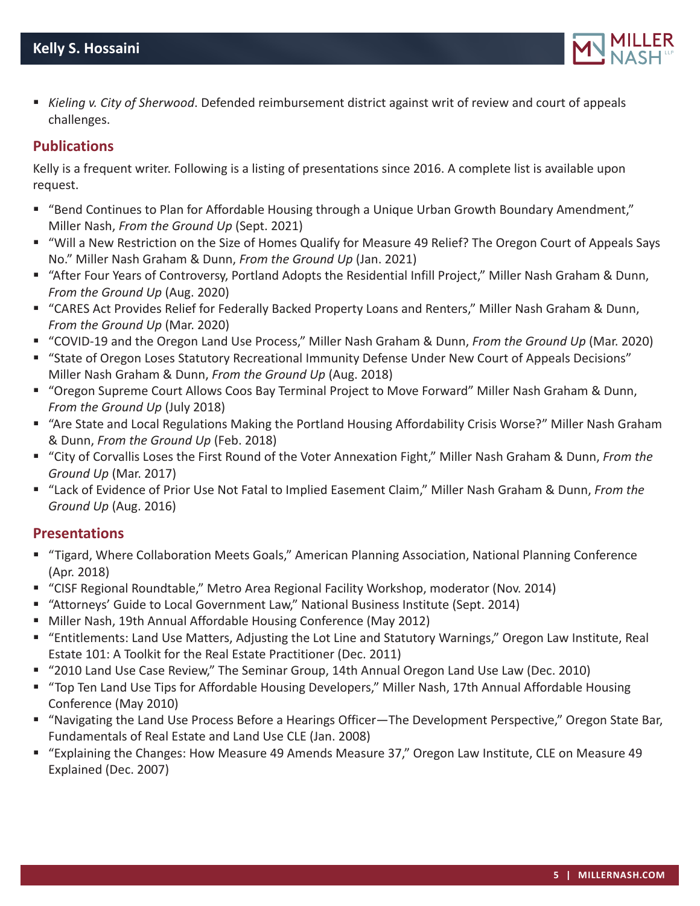

 *Kieling v. City of Sherwood*. Defended reimbursement district against writ of review and court of appeals challenges.

## **Publications**

Kelly is a frequent writer. Following is a listing of presentations since 2016. A complete list is available upon request.

- "Bend Continues to Plan for Affordable Housing through a Unique Urban Growth Boundary Amendment," Miller Nash, *From the Ground Up* (Sept. 2021)
- "Will a New Restriction on the Size of Homes Qualify for Measure 49 Relief? The Oregon Court of Appeals Says No." Miller Nash Graham & Dunn, *From the Ground Up* (Jan. 2021)
- "After Four Years of Controversy, Portland Adopts the Residential Infill Project," Miller Nash Graham & Dunn, *From the Ground Up* (Aug. 2020)
- "CARES Act Provides Relief for Federally Backed Property Loans and Renters," Miller Nash Graham & Dunn, *From the Ground Up* (Mar. 2020)
- "COVID-19 and the Oregon Land Use Process," Miller Nash Graham & Dunn, *From the Ground Up* (Mar. 2020)
- "State of Oregon Loses Statutory Recreational Immunity Defense Under New Court of Appeals Decisions" Miller Nash Graham & Dunn, *From the Ground Up* (Aug. 2018)
- "Oregon Supreme Court Allows Coos Bay Terminal Project to Move Forward" Miller Nash Graham & Dunn, *From the Ground Up* (July 2018)
- "Are State and Local Regulations Making the Portland Housing Affordability Crisis Worse?" Miller Nash Graham & Dunn, *From the Ground Up* (Feb. 2018)
- "City of Corvallis Loses the First Round of the Voter Annexation Fight," Miller Nash Graham & Dunn, *From the Ground Up* (Mar. 2017)
- "Lack of Evidence of Prior Use Not Fatal to Implied Easement Claim," Miller Nash Graham & Dunn, *From the Ground Up* (Aug. 2016)

# **Presentations**

- "Tigard, Where Collaboration Meets Goals," American Planning Association, National Planning Conference (Apr. 2018)
- "CISF Regional Roundtable," Metro Area Regional Facility Workshop, moderator (Nov. 2014)
- "Attorneys' Guide to Local Government Law," National Business Institute (Sept. 2014)
- Miller Nash, 19th Annual Affordable Housing Conference (May 2012)
- "Entitlements: Land Use Matters, Adjusting the Lot Line and Statutory Warnings," Oregon Law Institute, Real Estate 101: A Toolkit for the Real Estate Practitioner (Dec. 2011)
- "2010 Land Use Case Review," The Seminar Group, 14th Annual Oregon Land Use Law (Dec. 2010)
- "Top Ten Land Use Tips for Affordable Housing Developers," Miller Nash, 17th Annual Affordable Housing Conference (May 2010)
- "Navigating the Land Use Process Before a Hearings Officer—The Development Perspective," Oregon State Bar, Fundamentals of Real Estate and Land Use CLE (Jan. 2008)
- "Explaining the Changes: How Measure 49 Amends Measure 37," Oregon Law Institute, CLE on Measure 49 Explained (Dec. 2007)